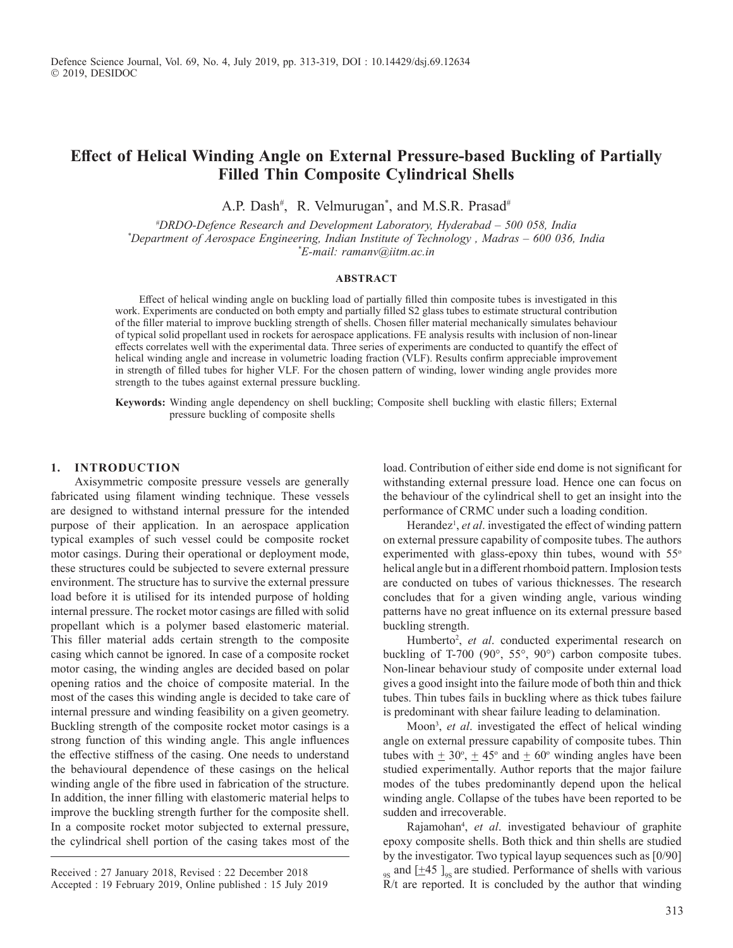# **Effect of Helical Winding Angle on External Pressure-based Buckling of Partially Filled Thin Composite Cylindrical Shells**

A.P. Dash<sup>#</sup>, R. Velmurugan<sup>\*</sup>, and M.S.R. Prasad<sup>#</sup>

*#DRDO-Defence Research and Development Laboratory, Hyderabad – 500 058, India \*Department of Aerospace Engineering, Indian Institute of Technology , Madras – 600 036, India \*E-mail: ramanv@iitm.ac.in*

#### **ABSTRACT**

Effect of helical winding angle on buckling load of partially filled thin composite tubes is investigated in this work. Experiments are conducted on both empty and partially filled S2 glass tubes to estimate structural contribution of the filler material to improve buckling strength of shells. Chosen filler material mechanically simulates behaviour of typical solid propellant used in rockets for aerospace applications. FE analysis results with inclusion of non-linear effects correlates well with the experimental data. Three series of experiments are conducted to quantify the effect of helical winding angle and increase in volumetric loading fraction (VLF). Results confirm appreciable improvement in strength of filled tubes for higher VLF. For the chosen pattern of winding, lower winding angle provides more strength to the tubes against external pressure buckling.

**Keywords:** Winding angle dependency on shell buckling; Composite shell buckling with elastic fillers; External pressure buckling of composite shells

### **1. INTrODUCTION**

Axisymmetric composite pressure vessels are generally fabricated using filament winding technique. These vessels are designed to withstand internal pressure for the intended purpose of their application. In an aerospace application typical examples of such vessel could be composite rocket motor casings. During their operational or deployment mode, these structures could be subjected to severe external pressure environment. The structure has to survive the external pressure load before it is utilised for its intended purpose of holding internal pressure. The rocket motor casings are filled with solid propellant which is a polymer based elastomeric material. This filler material adds certain strength to the composite casing which cannot be ignored. In case of a composite rocket motor casing, the winding angles are decided based on polar opening ratios and the choice of composite material. In the most of the cases this winding angle is decided to take care of internal pressure and winding feasibility on a given geometry. Buckling strength of the composite rocket motor casings is a strong function of this winding angle. This angle influences the effective stiffness of the casing. One needs to understand the behavioural dependence of these casings on the helical winding angle of the fibre used in fabrication of the structure. In addition, the inner filling with elastomeric material helps to improve the buckling strength further for the composite shell. In a composite rocket motor subjected to external pressure, the cylindrical shell portion of the casing takes most of the

load. Contribution of either side end dome is not significant for withstanding external pressure load. Hence one can focus on the behaviour of the cylindrical shell to get an insight into the performance of CRMC under such a loading condition.

Herandez<sup>1</sup>, et al. investigated the effect of winding pattern on external pressure capability of composite tubes. The authors experimented with glass-epoxy thin tubes, wound with  $55^\circ$ helical angle but in a different rhomboid pattern. Implosion tests are conducted on tubes of various thicknesses. The research concludes that for a given winding angle, various winding patterns have no great influence on its external pressure based buckling strength.

Humberto<sup>2</sup>, et al. conducted experimental research on buckling of T-700 (90°, 55°, 90°) carbon composite tubes. Non-linear behaviour study of composite under external load gives a good insight into the failure mode of both thin and thick tubes. Thin tubes fails in buckling where as thick tubes failure is predominant with shear failure leading to delamination.

Moon<sup>3</sup> , *et al*. investigated the effect of helical winding angle on external pressure capability of composite tubes. Thin tubes with  $\pm 30^{\circ}$ ,  $\pm 45^{\circ}$  and  $\pm 60^{\circ}$  winding angles have been studied experimentally. Author reports that the major failure modes of the tubes predominantly depend upon the helical winding angle. Collapse of the tubes have been reported to be sudden and irrecoverable.

Rajamohan<sup>4</sup> , *et al*. investigated behaviour of graphite epoxy composite shells. Both thick and thin shells are studied by the investigator. Two typical layup sequences such as [0/90]  $_{\text{9s}}$  and  $[\pm 45]_{\text{9s}}$  are studied. Performance of shells with various  $\widetilde{R}/t$  are reported. It is concluded by the author that winding

Received : 27 January 2018, Revised : 22 December 2018 Accepted : 19 February 2019, Online published : 15 July 2019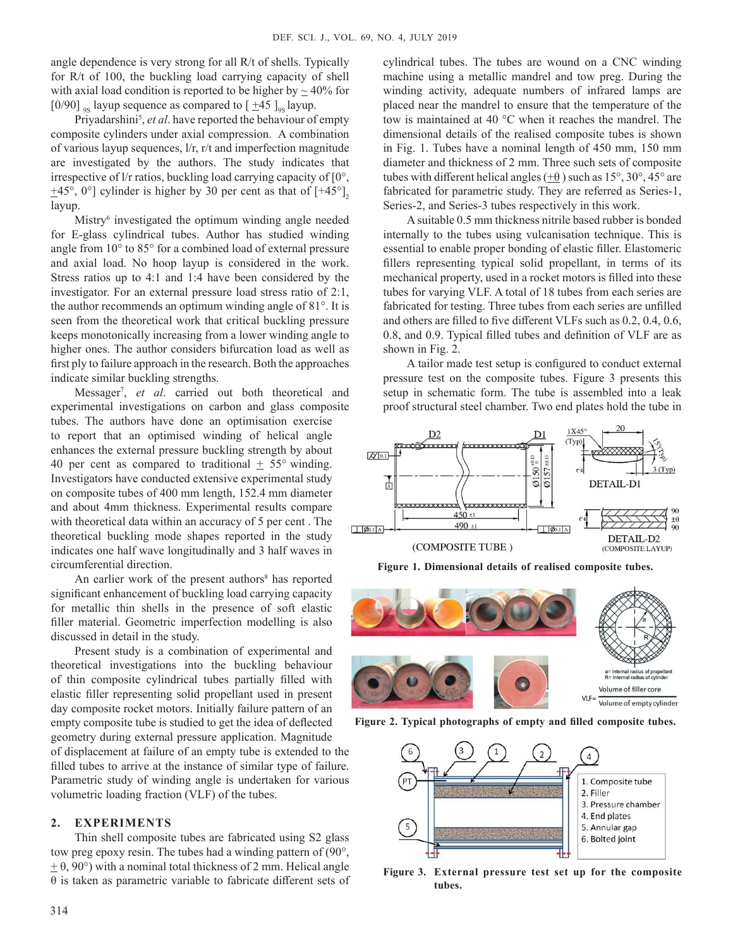angle dependence is very strong for all R/t of shells. Typically for R/t of 100, the buckling load carrying capacity of shell with axial load condition is reported to be higher by  $\approx$  40% for [0/90] <sub>9S</sub> layup sequence as compared to  $\left[\frac{+45}{-8}\right]_{9S}$  layup.

Priyadarshini<sup>5</sup>, et al. have reported the behaviour of empty composite cylinders under axial compression. A combination of various layup sequences, l/r, r/t and imperfection magnitude are investigated by the authors. The study indicates that irrespective of l/r ratios, buckling load carrying capacity of [0°,  $\pm$ 45°, 0°] cylinder is higher by 30 per cent as that of  $[+45^{\circ}]$ <sub>2</sub> layup.

Mistry<sup>6</sup> investigated the optimum winding angle needed for E-glass cylindrical tubes. Author has studied winding angle from 10° to 85° for a combined load of external pressure and axial load. No hoop layup is considered in the work. Stress ratios up to 4:1 and 1:4 have been considered by the investigator. For an external pressure load stress ratio of 2:1, the author recommends an optimum winding angle of 81°. It is seen from the theoretical work that critical buckling pressure keeps monotonically increasing from a lower winding angle to higher ones. The author considers bifurcation load as well as first ply to failure approach in the research. Both the approaches indicate similar buckling strengths.

Messager<sup>7</sup> , *et al*. carried out both theoretical and experimental investigations on carbon and glass composite tubes. The authors have done an optimisation exercise to report that an optimised winding of helical angle enhances the external pressure buckling strength by about 40 per cent as compared to traditional  $\pm$  55° winding. Investigators have conducted extensive experimental study on composite tubes of 400 mm length, 152.4 mm diameter and about 4mm thickness. Experimental results compare with theoretical data within an accuracy of 5 per cent . The theoretical buckling mode shapes reported in the study indicates one half wave longitudinally and 3 half waves in circumferential direction.

An earlier work of the present authors<sup>8</sup> has reported significant enhancement of buckling load carrying capacity for metallic thin shells in the presence of soft elastic filler material. Geometric imperfection modelling is also discussed in detail in the study.

Present study is a combination of experimental and theoretical investigations into the buckling behaviour of thin composite cylindrical tubes partially filled with elastic filler representing solid propellant used in present day composite rocket motors. Initially failure pattern of an empty composite tube is studied to get the idea of deflected geometry during external pressure application. Magnitude of displacement at failure of an empty tube is extended to the filled tubes to arrive at the instance of similar type of failure. Parametric study of winding angle is undertaken for various volumetric loading fraction (VLF) of the tubes.

### **2. EXPErIMENTS**

Thin shell composite tubes are fabricated using S2 glass tow preg epoxy resin. The tubes had a winding pattern of (90°,  $\pm$  θ, 90°) with a nominal total thickness of 2 mm. Helical angle θ is taken as parametric variable to fabricate different sets of cylindrical tubes. The tubes are wound on a CNC winding machine using a metallic mandrel and tow preg. During the winding activity, adequate numbers of infrared lamps are placed near the mandrel to ensure that the temperature of the tow is maintained at 40 °C when it reaches the mandrel. The dimensional details of the realised composite tubes is shown in Fig. 1. Tubes have a nominal length of 450 mm, 150 mm diameter and thickness of 2 mm. Three such sets of composite tubes with different helical angles  $(+\theta)$  such as  $15^{\circ}$ ,  $30^{\circ}$ ,  $45^{\circ}$  are fabricated for parametric study. They are referred as Series-1, Series-2, and Series-3 tubes respectively in this work.

A suitable 0.5 mm thickness nitrile based rubber is bonded internally to the tubes using vulcanisation technique. This is essential to enable proper bonding of elastic filler. Elastomeric fillers representing typical solid propellant, in terms of its mechanical property, used in a rocket motors is filled into these tubes for varying VLF. A total of 18 tubes from each series are fabricated for testing. Three tubes from each series are unfilled and others are filled to five different VLFs such as 0.2, 0.4, 0.6, 0.8, and 0.9. Typical filled tubes and definition of VLF are as shown in Fig. 2.

A tailor made test setup is configured to conduct external pressure test on the composite tubes. Figure 3 presents this setup in schematic form. The tube is assembled into a leak proof structural steel chamber. Two end plates hold the tube in



**Figure 1. Dimensional details of realised composite tubes.**



**Figure 2. Typical photographs of empty and filled composite tubes.**



**Figure 3. External pressure test set up for the composite tubes.**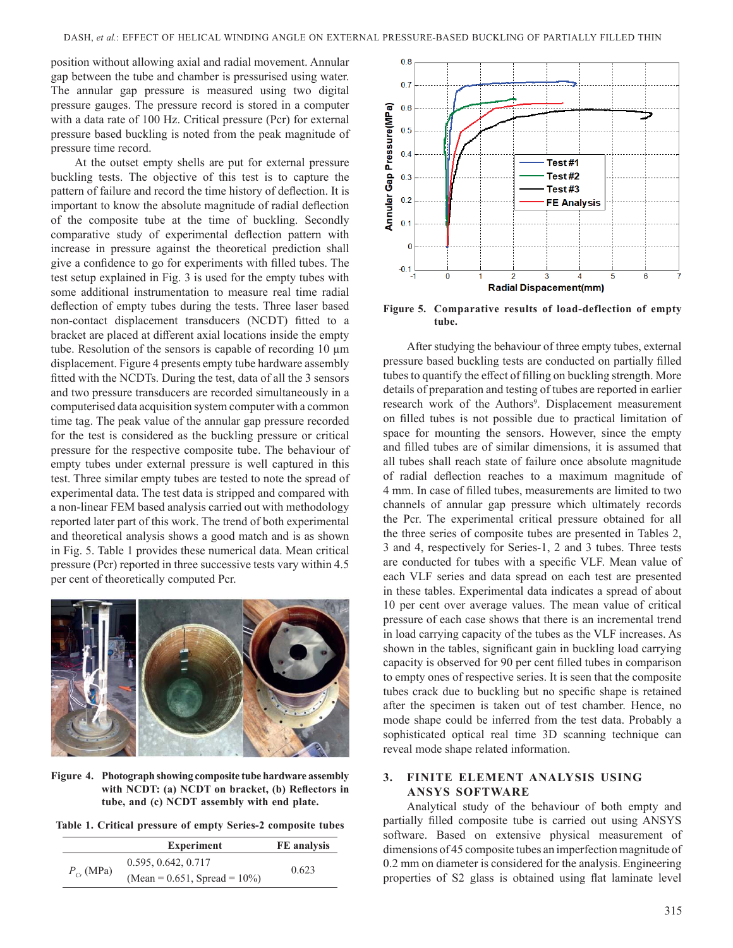position without allowing axial and radial movement. Annular gap between the tube and chamber is pressurised using water. The annular gap pressure is measured using two digital pressure gauges. The pressure record is stored in a computer with a data rate of 100 Hz. Critical pressure (Pcr) for external pressure based buckling is noted from the peak magnitude of pressure time record.

At the outset empty shells are put for external pressure buckling tests. The objective of this test is to capture the pattern of failure and record the time history of deflection. It is important to know the absolute magnitude of radial deflection of the composite tube at the time of buckling. Secondly comparative study of experimental deflection pattern with increase in pressure against the theoretical prediction shall give a confidence to go for experiments with filled tubes. The test setup explained in Fig. 3 is used for the empty tubes with some additional instrumentation to measure real time radial deflection of empty tubes during the tests. Three laser based non-contact displacement transducers (NCDT) fitted to a bracket are placed at different axial locations inside the empty tube. Resolution of the sensors is capable of recording 10 µm displacement. Figure 4 presents empty tube hardware assembly fitted with the NCDTs. During the test, data of all the 3 sensors and two pressure transducers are recorded simultaneously in a computerised data acquisition system computer with a common time tag. The peak value of the annular gap pressure recorded for the test is considered as the buckling pressure or critical pressure for the respective composite tube. The behaviour of empty tubes under external pressure is well captured in this test. Three similar empty tubes are tested to note the spread of experimental data. The test data is stripped and compared with a non-linear FEM based analysis carried out with methodology reported later part of this work. The trend of both experimental and theoretical analysis shows a good match and is as shown in Fig. 5. Table 1 provides these numerical data. Mean critical pressure (Pcr) reported in three successive tests vary within 4.5 per cent of theoretically computed Pcr.



**Figure 4. Photograph showing composite tube hardware assembly**  with NCDT: (a) NCDT on bracket, (b) Reflectors in **tube, and (c) NCDT assembly with end plate.**

**Table 1. Critical pressure of empty Series-2 composite tubes**

|                 | <b>Experiment</b>                   | FE analysis |  |
|-----------------|-------------------------------------|-------------|--|
| $P_{C_r}$ (MPa) | 0.595, 0.642, 0.717                 |             |  |
|                 | (Mean = $0.651$ , Spread = $10\%$ ) | 0.623       |  |



**Figure 5. Comparative results of load-deflection of empty tube.**

After studying the behaviour of three empty tubes, external pressure based buckling tests are conducted on partially filled tubes to quantify the effect of filling on buckling strength. More details of preparation and testing of tubes are reported in earlier research work of the Authors<sup>9</sup>. Displacement measurement on filled tubes is not possible due to practical limitation of space for mounting the sensors. However, since the empty and filled tubes are of similar dimensions, it is assumed that all tubes shall reach state of failure once absolute magnitude of radial deflection reaches to a maximum magnitude of 4 mm. In case of filled tubes, measurements are limited to two channels of annular gap pressure which ultimately records the Pcr. The experimental critical pressure obtained for all the three series of composite tubes are presented in Tables 2, 3 and 4, respectively for Series-1, 2 and 3 tubes. Three tests are conducted for tubes with a specific VLF. Mean value of each VLF series and data spread on each test are presented in these tables. Experimental data indicates a spread of about 10 per cent over average values. The mean value of critical pressure of each case shows that there is an incremental trend in load carrying capacity of the tubes as the VLF increases. As shown in the tables, significant gain in buckling load carrying capacity is observed for 90 per cent filled tubes in comparison to empty ones of respective series. It is seen that the composite tubes crack due to buckling but no specific shape is retained after the specimen is taken out of test chamber. Hence, no mode shape could be inferred from the test data. Probably a sophisticated optical real time 3D scanning technique can reveal mode shape related information.

# **3. FINITE ELEMENT ANALYSIS USING ANSYS SOFTWArE**

Analytical study of the behaviour of both empty and partially filled composite tube is carried out using ANSyS software. Based on extensive physical measurement of dimensions of 45 composite tubes an imperfection magnitude of 0.2 mm on diameter is considered for the analysis. Engineering properties of S2 glass is obtained using flat laminate level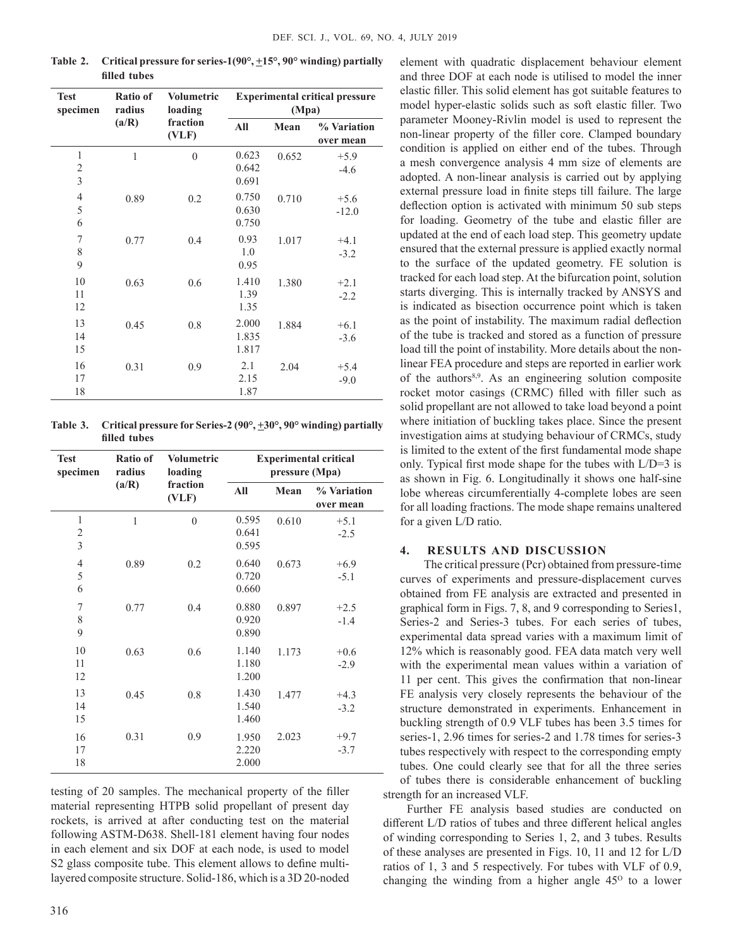| <b>Test</b><br>specimen                                   | Ratio of<br>radius<br>(a/R) | <b>Volumetric</b><br>loading<br>fraction<br>(VLF) | <b>Experimental critical pressure</b><br>(Mpa) |       |                          |
|-----------------------------------------------------------|-----------------------------|---------------------------------------------------|------------------------------------------------|-------|--------------------------|
|                                                           |                             |                                                   | All                                            | Mean  | % Variation<br>over mean |
| $\mathbf{1}$<br>$\overline{c}$<br>$\overline{\mathbf{3}}$ | $\mathbf{1}$                | $\theta$                                          | 0.623<br>0.642<br>0.691                        | 0.652 | $+5.9$<br>$-4.6$         |
| $\overline{4}$<br>5<br>6                                  | 0.89                        | 0.2                                               | 0.750<br>0.630<br>0.750                        | 0.710 | $+5.6$<br>$-12.0$        |
| 7<br>8<br>9                                               | 0.77                        | 0.4                                               | 0.93<br>1.0<br>0.95                            | 1.017 | $+4.1$<br>$-3.2$         |
| 10<br>11<br>12                                            | 0.63                        | 0.6                                               | 1.410<br>1.39<br>1.35                          | 1.380 | $+2.1$<br>$-2.2$         |
| 13<br>14<br>15                                            | 0.45                        | 0.8                                               | 2.000<br>1.835<br>1.817                        | 1.884 | $+6.1$<br>$-3.6$         |
| 16<br>17<br>18                                            | 0.31                        | 0.9                                               | 2.1<br>2.15<br>1.87                            | 2.04  | $+5.4$<br>$-9.0$         |

**Table 2. Critical pressure for series-1(90°, +15°, 90° winding) partially filled tubes**

**Table 3. Critical pressure for Series-2 (90°, +30°, 90° winding) partially filled tubes** 

| <b>Test</b><br>specimen    | Ratio of<br>radius<br>(a/R) | <b>Volumetric</b><br>loading<br>fraction<br>(VLF) | <b>Experimental critical</b><br>pressure (Mpa) |       |                          |
|----------------------------|-----------------------------|---------------------------------------------------|------------------------------------------------|-------|--------------------------|
|                            |                             |                                                   | All                                            | Mean  | % Variation<br>over mean |
| $\mathbf{1}$<br>2<br>3     | 1                           | $\theta$                                          | 0.595<br>0.641<br>0.595                        | 0.610 | $+5.1$<br>$-2.5$         |
| $\overline{4}$<br>5<br>6   | 0.89                        | 0.2                                               | 0.640<br>0.720<br>0.660                        | 0.673 | $+6.9$<br>$-5.1$         |
| $\boldsymbol{7}$<br>8<br>9 | 0.77                        | 0.4                                               | 0.880<br>0.920<br>0.890                        | 0.897 | $+2.5$<br>$-1.4$         |
| 10<br>11<br>12             | 0.63                        | 0.6                                               | 1.140<br>1.180<br>1.200                        | 1.173 | $+0.6$<br>$-2.9$         |
| 13<br>14<br>15             | 0.45                        | 0.8                                               | 1.430<br>1.540<br>1.460                        | 1.477 | $+4.3$<br>$-3.2$         |
| 16<br>17<br>18             | 0.31                        | 0.9                                               | 1.950<br>2.220<br>2.000                        | 2.023 | $+9.7$<br>$-3.7$         |

testing of 20 samples. The mechanical property of the filler material representing HTPB solid propellant of present day rockets, is arrived at after conducting test on the material following ASTM-D638. Shell-181 element having four nodes in each element and six DOF at each node, is used to model S2 glass composite tube. This element allows to define multilayered composite structure. Solid-186, which is a 3D 20-noded

element with quadratic displacement behaviour element and three DOF at each node is utilised to model the inner elastic filler. This solid element has got suitable features to model hyper-elastic solids such as soft elastic filler. Two parameter Mooney-Rivlin model is used to represent the non-linear property of the filler core. Clamped boundary condition is applied on either end of the tubes. Through a mesh convergence analysis 4 mm size of elements are adopted. A non-linear analysis is carried out by applying external pressure load in finite steps till failure. The large deflection option is activated with minimum 50 sub steps for loading. Geometry of the tube and elastic filler are updated at the end of each load step. This geometry update ensured that the external pressure is applied exactly normal to the surface of the updated geometry. FE solution is tracked for each load step. At the bifurcation point, solution starts diverging. This is internally tracked by ANSyS and is indicated as bisection occurrence point which is taken as the point of instability. The maximum radial deflection of the tube is tracked and stored as a function of pressure load till the point of instability. More details about the nonlinear FEA procedure and steps are reported in earlier work of the authors<sup>8,9</sup>. As an engineering solution composite rocket motor casings (CRMC) filled with filler such as solid propellant are not allowed to take load beyond a point where initiation of buckling takes place. Since the present investigation aims at studying behaviour of CRMCs, study is limited to the extent of the first fundamental mode shape only. Typical first mode shape for the tubes with  $L/D=3$  is as shown in Fig. 6. Longitudinally it shows one half-sine lobe whereas circumferentially 4-complete lobes are seen for all loading fractions. The mode shape remains unaltered for a given L/D ratio.

### **4. rESULTS AND DISCUSSION**

The critical pressure (Pcr) obtained from pressure-time curves of experiments and pressure-displacement curves obtained from FE analysis are extracted and presented in graphical form in Figs. 7, 8, and 9 corresponding to Series1, Series-2 and Series-3 tubes. For each series of tubes, experimental data spread varies with a maximum limit of 12% which is reasonably good. FEA data match very well with the experimental mean values within a variation of 11 per cent. This gives the confirmation that non-linear FE analysis very closely represents the behaviour of the structure demonstrated in experiments. Enhancement in buckling strength of 0.9 VLF tubes has been 3.5 times for series-1, 2.96 times for series-2 and 1.78 times for series-3 tubes respectively with respect to the corresponding empty tubes. One could clearly see that for all the three series of tubes there is considerable enhancement of buckling strength for an increased VLF.

Further FE analysis based studies are conducted on different L/D ratios of tubes and three different helical angles of winding corresponding to Series 1, 2, and 3 tubes. Results of these analyses are presented in Figs. 10, 11 and 12 for L/D ratios of 1, 3 and 5 respectively. For tubes with VLF of 0.9, changing the winding from a higher angle  $45^{\circ}$  to a lower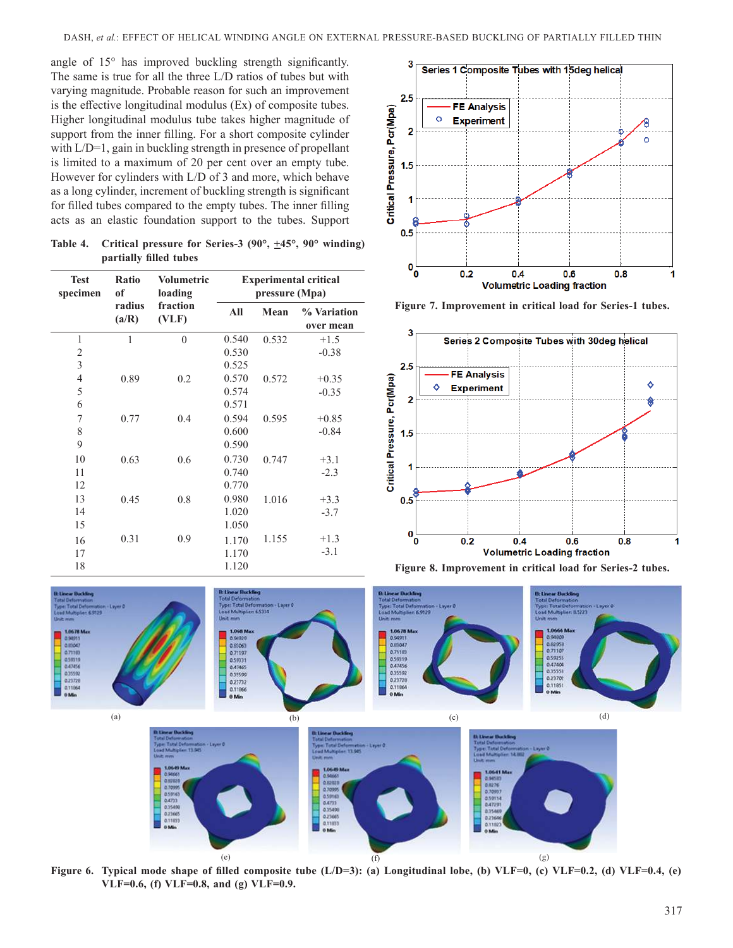angle of 15° has improved buckling strength significantly. The same is true for all the three L/D ratios of tubes but with varying magnitude. Probable reason for such an improvement is the effective longitudinal modulus (Ex) of composite tubes. Higher longitudinal modulus tube takes higher magnitude of support from the inner filling. For a short composite cylinder with L/D=1, gain in buckling strength in presence of propellant is limited to a maximum of 20 per cent over an empty tube. However for cylinders with L/D of 3 and more, which behave as a long cylinder, increment of buckling strength is significant for filled tubes compared to the empty tubes. The inner filling acts as an elastic foundation support to the tubes. Support

**Table 4. Critical pressure for Series-3 (90°, +45°, 90° winding) partially filled tubes** 

| <b>Test</b><br>specimen | Ratio<br>of<br>radius<br>(a/R) | <b>Volumetric</b><br>loading | <b>Experimental critical</b><br>pressure (Mpa) |       |                          |
|-------------------------|--------------------------------|------------------------------|------------------------------------------------|-------|--------------------------|
|                         |                                | fraction<br>(VLF)            | All                                            | Mean  | % Variation<br>over mean |
| $\mathbf{1}$            | 1                              | $\theta$                     | 0.540                                          | 0.532 | $+1.5$                   |
| $\overline{2}$          |                                |                              | 0.530                                          |       | $-0.38$                  |
| $\mathfrak{Z}$          |                                |                              | 0.525                                          |       |                          |
| $\overline{4}$          | 0.89                           | 0.2                          | 0.570                                          | 0.572 | $+0.35$                  |
| 5                       |                                |                              | 0.574                                          |       | $-0.35$                  |
| 6                       |                                |                              | 0.571                                          |       |                          |
| 7                       | 0.77                           | 0.4                          | 0.594                                          | 0.595 | $+0.85$                  |
| 8                       |                                |                              | 0.600                                          |       | $-0.84$                  |
| 9                       |                                |                              | 0.590                                          |       |                          |
| 10                      | 0.63                           | 0.6                          | 0.730                                          | 0.747 | $+3.1$                   |
| 11                      |                                |                              | 0.740                                          |       | $-2.3$                   |
| 12                      |                                |                              | 0.770                                          |       |                          |
| 13                      | 0.45                           | 0.8                          | 0.980                                          | 1.016 | $+3.3$                   |
| 14                      |                                |                              | 1.020                                          |       | $-3.7$                   |
| 15                      |                                |                              | 1.050                                          |       |                          |
| 16                      | 0.31                           | 0.9                          | 1.170                                          | 1.155 | $+1.3$                   |
| 17                      |                                |                              | 1.170                                          |       | $-3.1$                   |
| 18                      |                                |                              | 1.120                                          |       |                          |



**Figure 7. Improvement in critical load for Series-1 tubes.**







Figure 6. Typical mode shape of filled composite tube (L/D=3): (a) Longitudinal lobe, (b) VLF=0, (c) VLF=0.2, (d) VLF=0.4, (e) **VLF=0.6, (f) VLF=0.8, and (g) VLF=0.9.**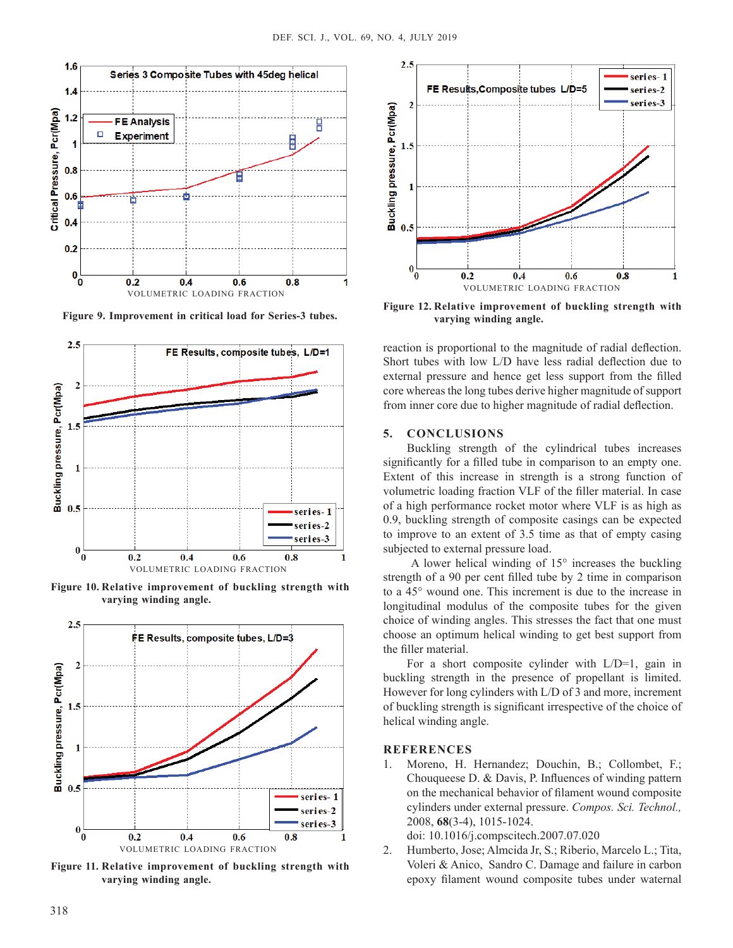

**Figure 9. Improvement in critical load for Series-3 tubes.**



Figure 10. Relative improvement of buckling strength with **varying winding angle.** 



Figure 11. Relative improvement of buckling strength with **varying winding angle.**



Figure 12. Relative improvement of buckling strength with **varying winding angle.**

reaction is proportional to the magnitude of radial deflection. Short tubes with low L/D have less radial deflection due to external pressure and hence get less support from the filled core whereas the long tubes derive higher magnitude of support from inner core due to higher magnitude of radial deflection.

## **5. CONCLUSIONS**

Buckling strength of the cylindrical tubes increases significantly for a filled tube in comparison to an empty one. Extent of this increase in strength is a strong function of volumetric loading fraction VLF of the filler material. In case of a high performance rocket motor where VLF is as high as 0.9, buckling strength of composite casings can be expected to improve to an extent of 3.5 time as that of empty casing subjected to external pressure load.

 A lower helical winding of 15° increases the buckling strength of a 90 per cent filled tube by 2 time in comparison to a 45° wound one. This increment is due to the increase in longitudinal modulus of the composite tubes for the given choice of winding angles. This stresses the fact that one must choose an optimum helical winding to get best support from the filler material.

For a short composite cylinder with L/D=1, gain in buckling strength in the presence of propellant is limited. However for long cylinders with L/D of 3 and more, increment of buckling strength is significant irrespective of the choice of helical winding angle.

# **rEFErENCES**

1. Moreno, H. Hernandez; Douchin, B.; Collombet, F.; Chouqueese D. & Davis, P. Influences of winding pattern on the mechanical behavior of filament wound composite cylinders under external pressure. *Compos. Sci. Technol.,* 2008, **68**(3-4), 1015-1024.

doi: 10.1016/j.compscitech.2007.07.020

2. Humberto, Jose; Almcida Jr, S.; Riberio, Marcelo L.; Tita, Voleri & Anico, Sandro C. Damage and failure in carbon epoxy filament wound composite tubes under waternal